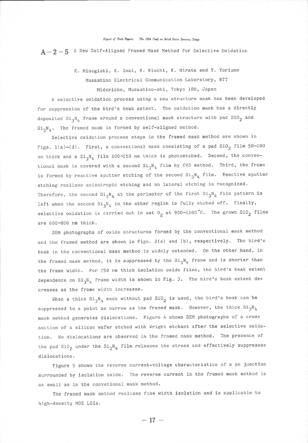## Digest of Tech. Papers The 12th Conf. on Solid State Devices, Tokyo

 $A-2-5$  A New Self-Aligned Framed Mask Method for Selective Oxidation

K. Minegishi, K. Imai, K. Kiuchi, K. Hirata and Y. Yoriume Musashino Electrical Communication Laboratory, NTT Midoricho, Musashino-shi, Tokyo 180, Japan

A selective oxidation process using a new structure mask has been developed for suppression of the bird's beak extent. The oxidation mask has a directly deposited  $\text{Si}_3\text{N}_4$  frame around a conventional mask structure with pad  $\text{SiO}_2$  and  $Si_3N_A$ . The framed mask is formed by self-aligned method.

Selective oxidation process steps in the framed mask method are shown in Figs. 1(a)~(d). First, a conventional mask consisting of a pad  $\text{SiO}_2$  film  $50$ ~100 nm thick and a  $\text{Si}_3\text{N}_4$  film 100~150 nm thick is photoetched. Second, the conventional mask is covered with a second  $Si_3N_4$  film by CVD method. Third, the frame is formed by reactive sputter etching of the second  $Si_{3}N_{4}$  film. Reactive sputter etching realizes anisotropic etching and no lateral etching is recognized. Therefore, the second  $Si_3N_4$  at the perimeter of the first  $Si_3N_4$  film pattern is left when the second  $Si_3N_4$  in the other region is fully etched off. Finally, selective oxidation is carried out in wet  $O_2$  at 900~1100°C. The grown SiO<sub>2</sub> films are 600-800 nm thick.

SEM photographs of oxide structures formed by the conventional mask method and the framed method are shown in Figs. 2(a) and (b), respectively. The bird's beak in the conventional mask method is widely extended. On the other hand, in the framed mask method, it is suppressed by the  $Si_3N_4$  frame and is shorter than the frame width. For 750 nm thick isolation oxide films, the bird's beak extent dependence on  $Si_3N_4$  frame width is shown in Fig. 3. The bird's beak extent decreases as the frame width increases.

When a thick  $Si_3N_4$  mask without pad  $SiO_2$  is used, the bird's beak can be suppressed to a point as narrow as the framed mask. However, the thick  $Si_3N_4$ mask method generates dislocations. Figure 4 shows SEM photographs of a cross section of a silicon wafer etched with Wright etchant after the selective oxidation. No dislocations are observed in the framed mask method. The presence of the pad SiO<sub>2</sub> under the Si<sub>3</sub>N<sub>4</sub> film releases the stress and effectively suppresses dislocations.

Figure 5 shows the reverse current-voltage characteristics of a pn junction surrounded by isolation oxide. The reverse current in the framed mask method is as small as in the convetional mask method.

The framed mask method realizes fine width isolation and is applicable to high-density MOS LSIs.